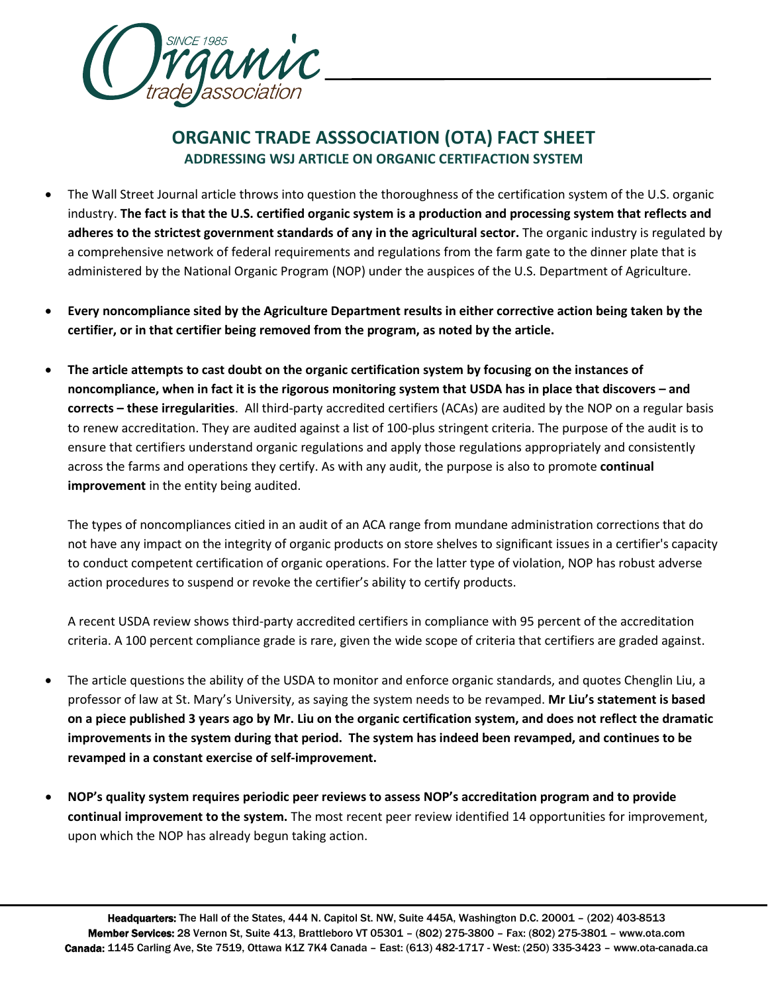

## **ORGANIC TRADE ASSSOCIATION (OTA) FACT SHEET ADDRESSING WSJ ARTICLE ON ORGANIC CERTIFACTION SYSTEM**

- The Wall Street Journal article throws into question the thoroughness of the certification system of the U.S. organic industry. **The fact is that the U.S. certified organic system is a production and processing system that reflects and adheres to the strictest government standards of any in the agricultural sector.** The organic industry is regulated by a comprehensive network of federal requirements and regulations from the farm gate to the dinner plate that is administered by the National Organic Program (NOP) under the auspices of the U.S. Department of Agriculture.
- **Every noncompliance sited by the Agriculture Department results in either corrective action being taken by the certifier, or in that certifier being removed from the program, as noted by the article.**
- **The article attempts to cast doubt on the organic certification system by focusing on the instances of noncompliance, when in fact it is the rigorous monitoring system that USDA has in place that discovers – and corrects – these irregularities**. All third-party accredited certifiers (ACAs) are audited by the NOP on a regular basis to renew accreditation. They are audited against a list of 100-plus stringent criteria. The purpose of the audit is to ensure that certifiers understand organic regulations and apply those regulations appropriately and consistently across the farms and operations they certify. As with any audit, the purpose is also to promote **continual improvement** in the entity being audited.

The types of noncompliances citied in an audit of an ACA range from mundane administration corrections that do not have any impact on the integrity of organic products on store shelves to significant issues in a certifier's capacity to conduct competent certification of organic operations. For the latter type of violation, NOP has robust adverse action procedures to suspend or revoke the certifier's ability to certify products.

A recent USDA review shows third-party accredited certifiers in compliance with 95 percent of the accreditation criteria. A 100 percent compliance grade is rare, given the wide scope of criteria that certifiers are graded against.

- The article questions the ability of the USDA to monitor and enforce organic standards, and quotes Chenglin Liu, a professor of law at St. Mary's University, as saying the system needs to be revamped. **Mr Liu's statement is based on a piece published 3 years ago by Mr. Liu on the organic certification system, and does not reflect the dramatic improvements in the system during that period. The system has indeed been revamped, and continues to be revamped in a constant exercise of self-improvement.**
- **NOP's quality system requires periodic peer reviews to assess NOP's accreditation program and to provide continual improvement to the system.** The most recent peer review identified 14 opportunities for improvement, upon which the NOP has already begun taking action.